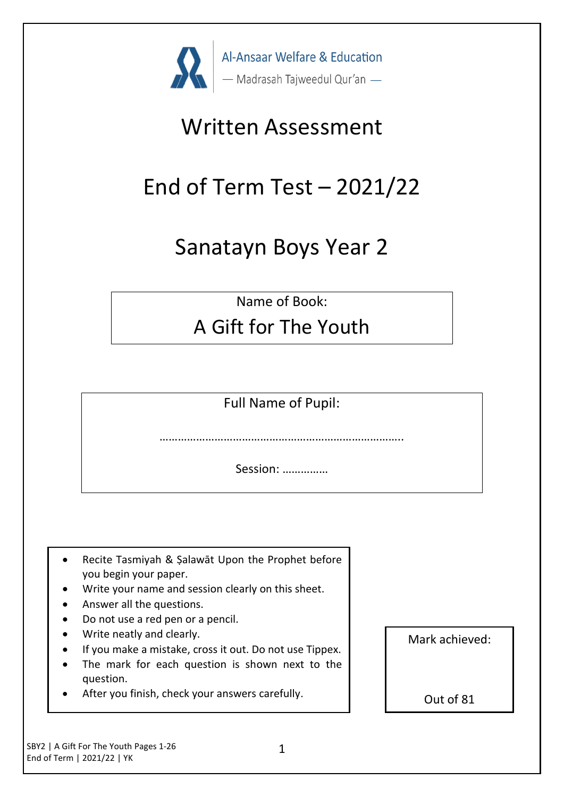

## Written Assessment

# End of Term Test  $-2021/22$

### Sanatayn Boys Year 2

Name of Book:

### A Gift for The Youth

Full Name of Pupil:

………………………………………………………………

Session: ……………

- Recite Tasmiyah & Şalawāt Upon the Prophet before you begin your paper.
- Write your name and session clearly on this sheet.
- Answer all the questions.
- Do not use a red pen or a pencil.
- Write neatly and clearly.
- If you make a mistake, cross it out. Do not use Tippex.
- The mark for each question is shown next to the question.
- After you finish, check your answers carefully.

Mark achieved:

Out of 81

SBY2 | A Gift For The Youth Pages 1-26 End of Term | 2021/22 | YK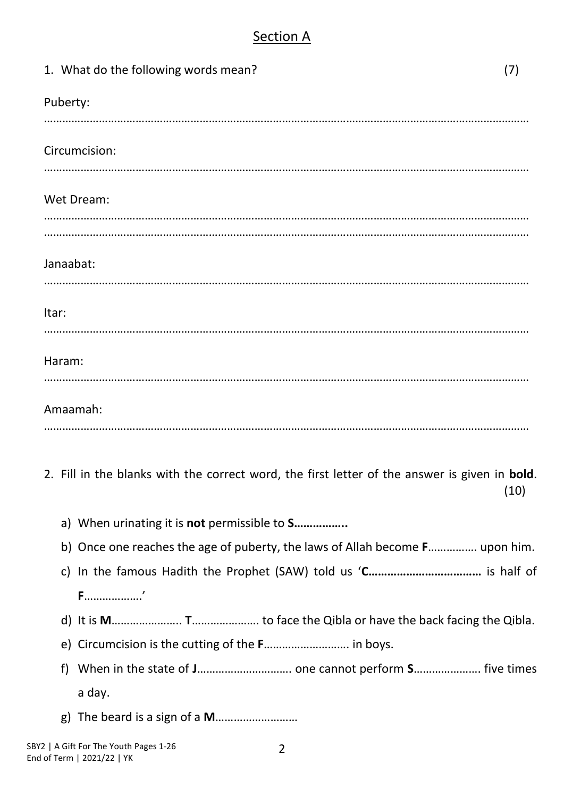#### Section A

| 1. What do the following words mean?                                                          | (7)  |
|-----------------------------------------------------------------------------------------------|------|
| Puberty:                                                                                      |      |
| Circumcision:                                                                                 |      |
| Wet Dream:                                                                                    |      |
|                                                                                               |      |
| Janaabat:                                                                                     |      |
| Itar:                                                                                         |      |
| Haram:                                                                                        |      |
| Amaamah:                                                                                      |      |
| 2. Fill in the blanks with the correct word, the first letter of the answer is given in bold. | (10) |
| a) When urinating it is not permissible to S                                                  |      |

- b) Once one reaches the age of puberty, the laws of Allah become **F**……………. upon him.
- c) In the famous Hadith the Prophet (SAW) told us '**C………………………………** is half of **F**……………….'
- d) It is **M**………………….. **T**…………………. to face the Qibla or have the back facing the Qibla.
- e) Circumcision is the cutting of the **F**………………………. in boys.
- f) When in the state of **J**…………………………. one cannot perform **S**…………………. five times a day.
- g) The beard is a sign of a **M**………………………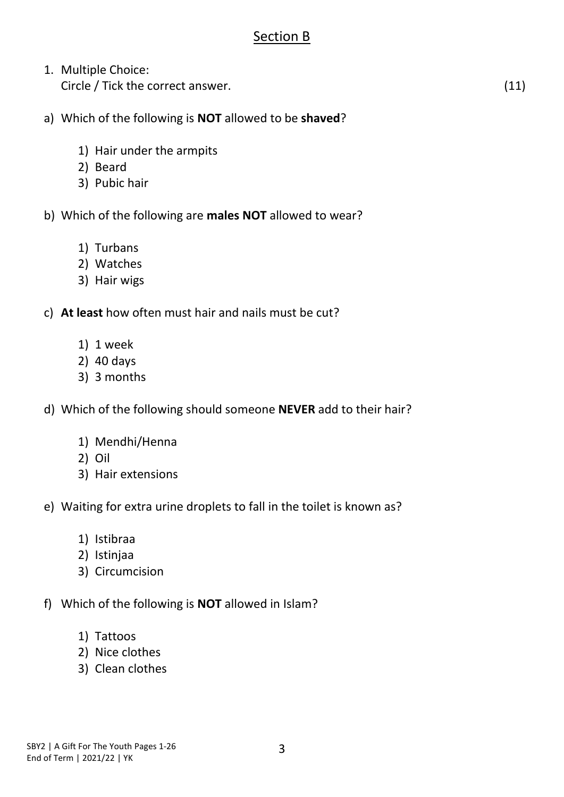#### Section B

- 1. Multiple Choice: Circle / Tick the correct answer. (11)
- a) Which of the following is **NOT** allowed to be **shaved**?
	- 1) Hair under the armpits
	- 2) Beard
	- 3) Pubic hair
- b) Which of the following are **males NOT** allowed to wear?
	- 1) Turbans
	- 2) Watches
	- 3) Hair wigs
- c) **At least** how often must hair and nails must be cut?
	- 1) 1 week
	- 2) 40 days
	- 3) 3 months
- d) Which of the following should someone **NEVER** add to their hair?
	- 1) Mendhi/Henna
	- 2) Oil
	- 3) Hair extensions
- e) Waiting for extra urine droplets to fall in the toilet is known as?
	- 1) Istibraa
	- 2) Istinjaa
	- 3) Circumcision
- f) Which of the following is **NOT** allowed in Islam?
	- 1) Tattoos
	- 2) Nice clothes
	- 3) Clean clothes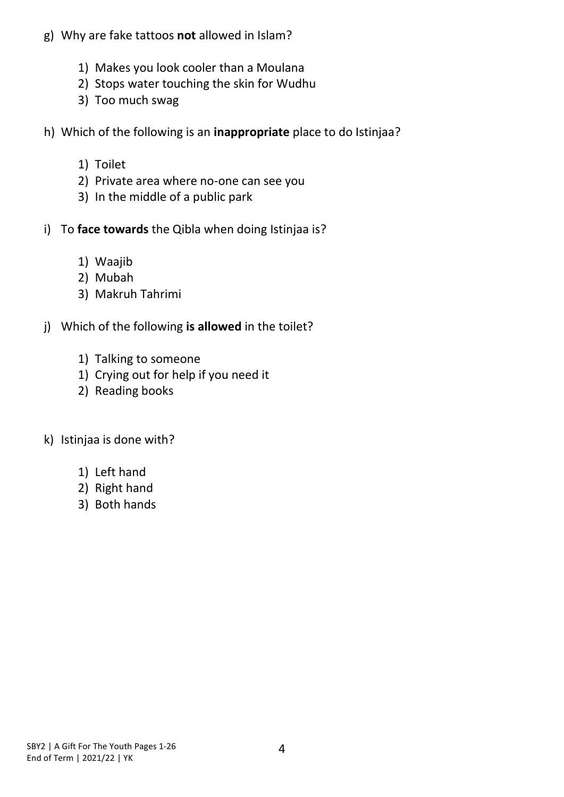- g) Why are fake tattoos **not** allowed in Islam?
	- 1) Makes you look cooler than a Moulana
	- 2) Stops water touching the skin for Wudhu
	- 3) Too much swag
- h) Which of the following is an **inappropriate** place to do Istinjaa?
	- 1) Toilet
	- 2) Private area where no-one can see you
	- 3) In the middle of a public park
- i) To **face towards** the Qibla when doing Istinjaa is?
	- 1) Waajib
	- 2) Mubah
	- 3) Makruh Tahrimi
- j) Which of the following **is allowed** in the toilet?
	- 1) Talking to someone
	- 1) Crying out for help if you need it
	- 2) Reading books
- k) Istinjaa is done with?
	- 1) Left hand
	- 2) Right hand
	- 3) Both hands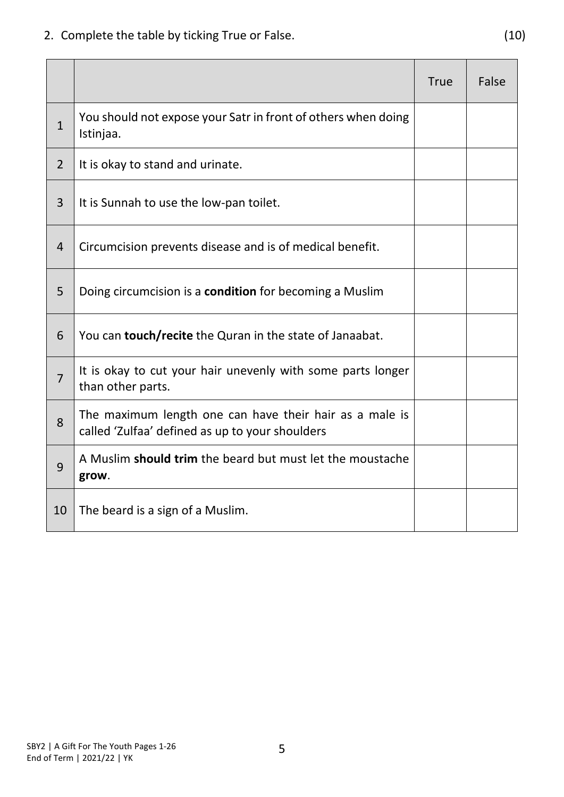2. Complete the table by ticking True or False. (10)

|                |                                                                                                            | <b>True</b> | False |
|----------------|------------------------------------------------------------------------------------------------------------|-------------|-------|
| $\mathbf{1}$   | You should not expose your Satr in front of others when doing<br>Istinjaa.                                 |             |       |
| $\overline{2}$ | It is okay to stand and urinate.                                                                           |             |       |
| 3              | It is Sunnah to use the low-pan toilet.                                                                    |             |       |
| $\overline{4}$ | Circumcision prevents disease and is of medical benefit.                                                   |             |       |
| 5              | Doing circumcision is a <b>condition</b> for becoming a Muslim                                             |             |       |
| 6              | You can <b>touch/recite</b> the Quran in the state of Janaabat.                                            |             |       |
| $\overline{7}$ | It is okay to cut your hair unevenly with some parts longer<br>than other parts.                           |             |       |
| 8              | The maximum length one can have their hair as a male is<br>called 'Zulfaa' defined as up to your shoulders |             |       |
| 9              | A Muslim should trim the beard but must let the moustache<br>grow.                                         |             |       |
| 10             | The beard is a sign of a Muslim.                                                                           |             |       |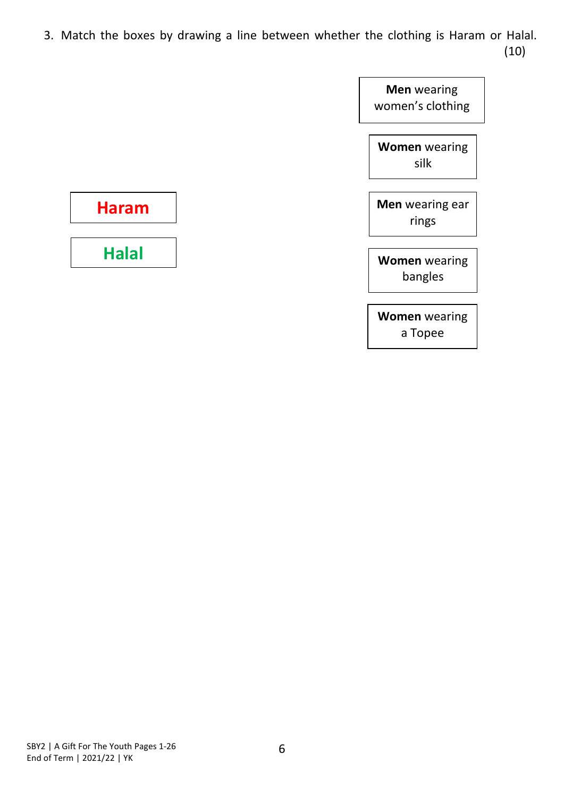3. Match the boxes by drawing a line between whether the clothing is Haram or Halal. (10)



**Women** wearing a Topee

**Haram**

**Halal**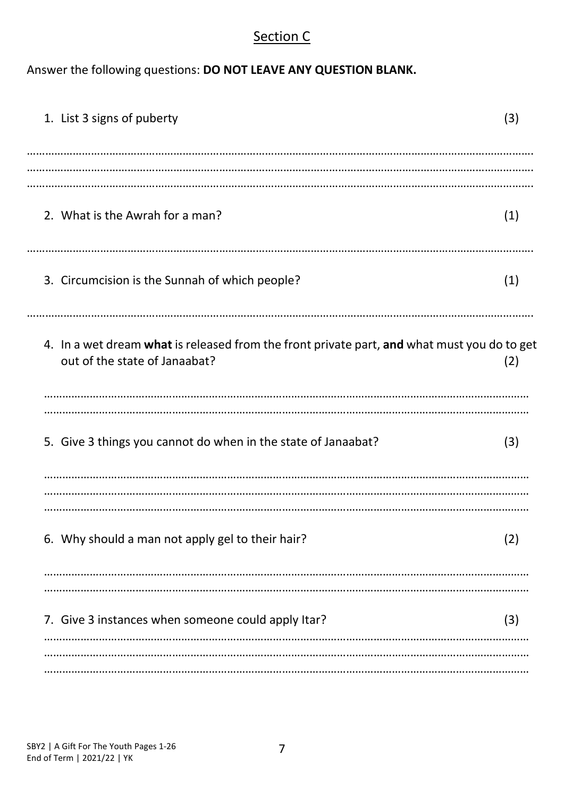#### Section C

Answer the following questions: **DO NOT LEAVE ANY QUESTION BLANK.**

| 1. List 3 signs of puberty                                                                                                   | (3) |
|------------------------------------------------------------------------------------------------------------------------------|-----|
| 2. What is the Awrah for a man?                                                                                              | (1) |
| 3. Circumcision is the Sunnah of which people?                                                                               | (1) |
| 4. In a wet dream what is released from the front private part, and what must you do to get<br>out of the state of Janaabat? | (2) |
| 5. Give 3 things you cannot do when in the state of Janaabat?                                                                | (3) |
| 6. Why should a man not apply gel to their hair?                                                                             | (2) |
| 7. Give 3 instances when someone could apply Itar?                                                                           | (3) |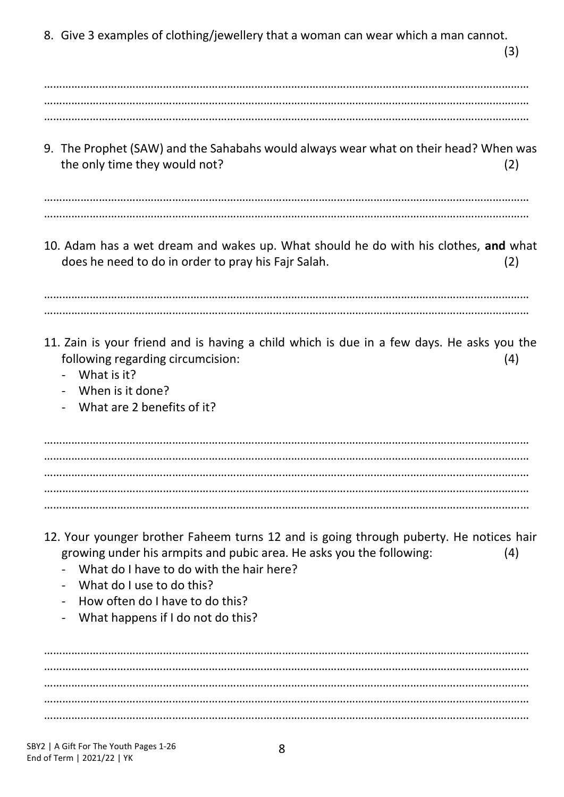8. Give 3 examples of clothing/jewellery that a woman can wear which a man cannot. (3) …………………………………………………………………………………………………………………………………………… …………………………………………………………………………………………………………………………………………… …………………………………………………………………………………………………………………………………………… 9. The Prophet (SAW) and the Sahabahs would always wear what on their head? When was the only time they would not? (2) …………………………………………………………………………………………………………………………………………… …………………………………………………………………………………………………………………………………………… 10. Adam has a wet dream and wakes up. What should he do with his clothes, **and** what does he need to do in order to pray his Fajr Salah. (2) …………………………………………………………………………………………………………………………………………… …………………………………………………………………………………………………………………………………………… 11. Zain is your friend and is having a child which is due in a few days. He asks you the following regarding circumcision: (4) - What is it? - When is it done? What are 2 benefits of it? …………………………………………………………………………………………………………………………………………… …………………………………………………………………………………………………………………………………………… …………………………………………………………………………………………………………………………………………… …………………………………………………………………………………………………………………………………………… …………………………………………………………………………………………………………………………………………… 12. Your younger brother Faheem turns 12 and is going through puberty. He notices hair growing under his armpits and pubic area. He asks you the following: (4) - What do I have to do with the hair here? - What do I use to do this? How often do I have to do this? - What happens if I do not do this? …………………………………………………………………………………………………………………………………………… …………………………………………………………………………………………………………………………………………… …………………………………………………………………………………………………………………………………………… ……………………………………………………………………………………………………………………………………………